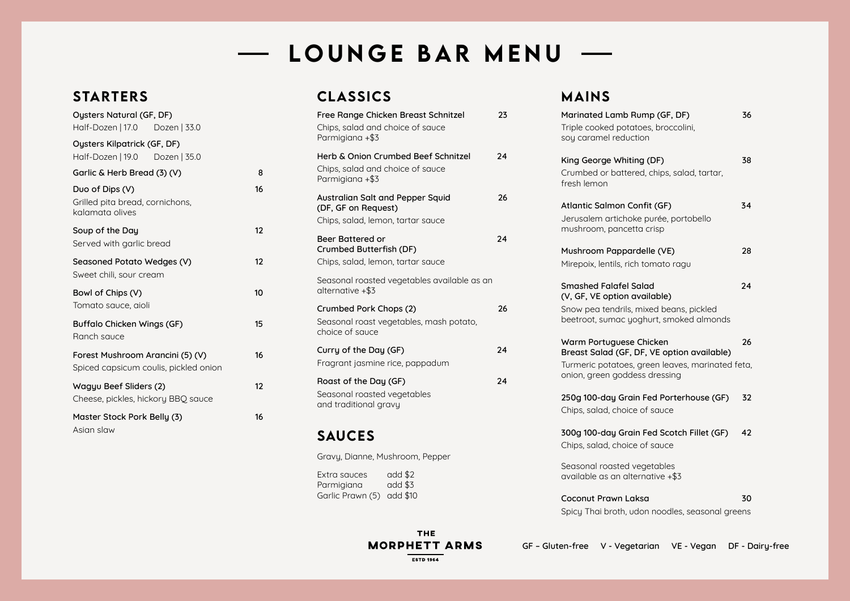**GF – Gluten-free V - Vegetarian VE - Vegan DF - Dairy-free**

**ESTD 1964** 

# - LOUNGE BAR MENU -

### STARTERS

| <b>Oysters Natural (GF, DF)</b>                                           |    |
|---------------------------------------------------------------------------|----|
| Half-Dozen   17.0    Dozen   33.0                                         |    |
| <b>Oysters Kilpatrick (GF, DF)</b><br>Half-Dozen   19.0 Dozen   35.0      |    |
| Garlic & Herb Bread (3) (V)                                               | 8  |
| Duo of Dips (V)<br>Grilled pita bread, cornichons,<br>kalamata olives     | 16 |
| Soup of the Day<br>Served with garlic bread                               | 12 |
| Seasoned Potato Wedges (V)<br>Sweet chili, sour cream                     | 12 |
| Bowl of Chips (V)<br>Tomato sauce, aioli                                  | 10 |
| <b>Buffalo Chicken Wings (GF)</b><br>Ranch sauce                          | 15 |
| Forest Mushroom Arancini (5) (V)<br>Spiced capsicum coulis, pickled onion | 16 |
| Wagyu Beef Sliders (2)<br>Cheese, pickles, hickory BBQ sauce              | 12 |
| Master Stock Pork Belly (3)<br>Asian slaw                                 | 16 |

### CLASSICS

Extra sauces add \$2<br>Parmigiana add \$3 Parmigiana Garlic Prawn (5) add \$10

> **THE MORPHETT ARMS**

| Free Range Chicken Breast Schnitzel<br>Chips, salad and choice of sauce<br>Parmigiana +\$3     | 23 |
|------------------------------------------------------------------------------------------------|----|
| Herb & Onion Crumbed Beef Schnitzel<br>Chips, salad and choice of sauce<br>Parmigiana +\$3     | 24 |
| Australian Salt and Pepper Squid<br>(DF, GF on Request)<br>Chips, salad, lemon, tartar sauce   | 26 |
| <b>Beer Battered or</b><br><b>Crumbed Butterfish (DF)</b><br>Chips, salad, lemon, tartar sauce | 24 |
| Seasonal roasted vegetables available as an<br>alternative +\$3                                |    |
| Crumbed Pork Chops (2)<br>Seasonal roast vegetables, mash potato,<br>choice of sauce           | 26 |
| Curry of the Day (GF)<br>Fragrant jasmine rice, pappadum                                       | 24 |
| Roast of the Day (GF)<br>Seasonal roasted vegetables<br>and traditional gravy                  | 24 |

#### SAUCES

Gravy, Dianne, Mushroom, Pepper

## MAINS

| Marinated Lamb Rump (GF, DF)<br>Triple cooked potatoes, broccolini,<br>soy caramel reduction                                                       | 36 |
|----------------------------------------------------------------------------------------------------------------------------------------------------|----|
| King George Whiting (DF)<br>Crumbed or battered, chips, salad, tartar,<br>fresh lemon                                                              | 38 |
| <b>Atlantic Salmon Confit (GF)</b><br>Jerusalem artichoke purée, portobello<br>mushroom, pancetta crisp                                            | 34 |
| Mushroom Pappardelle (VE)<br>Mirepoix, lentils, rich tomato ragu                                                                                   | 28 |
| <b>Smashed Falafel Salad</b><br>(V, GF, VE option available)<br>Snow pea tendrils, mixed beans, pickled<br>beetroot, sumac yoghurt, smoked almonds | 24 |
| Warm Portuguese Chicken<br>Breast Salad (GF, DF, VE option available)                                                                              | 26 |
| Turmeric potatoes, green leaves, marinated feta,<br>onion, green goddess dressing                                                                  |    |
| 250g 100-day Grain Fed Porterhouse (GF)<br>Chips, salad, choice of sauce                                                                           | 32 |
| 300g 100-day Grain Fed Scotch Fillet (GF)<br>Chips, salad, choice of sauce                                                                         | 42 |
| Seasonal roasted vegetables<br>available as an alternative +\$3                                                                                    |    |
| <b>Coconut Prawn Laksa</b><br>Spicy Thai broth, udon noodles, seasonal greens                                                                      | 30 |